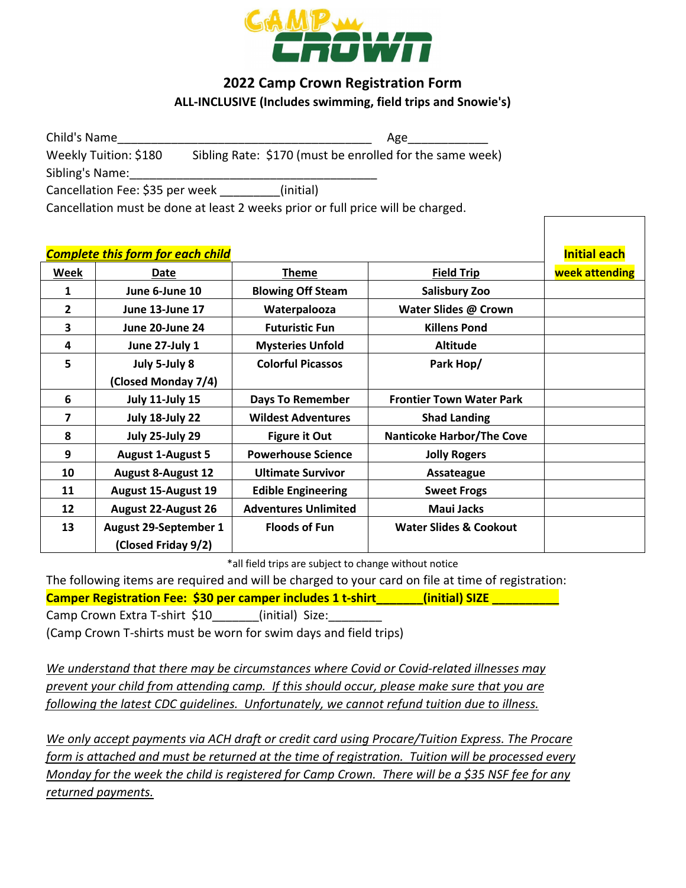

## **2022 Camp Crown Registration Form ALL-INCLUSIVE (Includes swimming, field trips and Snowie's)**

| Child's Name                                                                    |           | Age                                                      |
|---------------------------------------------------------------------------------|-----------|----------------------------------------------------------|
| Weekly Tuition: \$180                                                           |           | Sibling Rate: \$170 (must be enrolled for the same week) |
| Sibling's Name:                                                                 |           |                                                          |
| Cancellation Fee: \$35 per week                                                 | (initial) |                                                          |
| Cancellation must be done at least 2 weeks prior or full price will be charged. |           |                                                          |

|              | <b>Complete this form for each child</b> |                             |                                   | <b>Initial each</b> |
|--------------|------------------------------------------|-----------------------------|-----------------------------------|---------------------|
| Week         | Date                                     | <b>Theme</b>                | <b>Field Trip</b>                 | week attending      |
| 1            | June 6-June 10                           | <b>Blowing Off Steam</b>    | <b>Salisbury Zoo</b>              |                     |
| $\mathbf{2}$ | <b>June 13-June 17</b>                   | Waterpalooza                | Water Slides @ Crown              |                     |
| 3            | June 20-June 24                          | <b>Futuristic Fun</b>       | <b>Killens Pond</b>               |                     |
| 4            | June 27-July 1                           | <b>Mysteries Unfold</b>     | <b>Altitude</b>                   |                     |
| 5            | July 5-July 8                            | <b>Colorful Picassos</b>    | Park Hop/                         |                     |
|              | (Closed Monday 7/4)                      |                             |                                   |                     |
| 6            | <b>July 11-July 15</b>                   | <b>Days To Remember</b>     | <b>Frontier Town Water Park</b>   |                     |
| 7            | July 18-July 22                          | <b>Wildest Adventures</b>   | <b>Shad Landing</b>               |                     |
| 8            | July 25-July 29                          | <b>Figure it Out</b>        | <b>Nanticoke Harbor/The Cove</b>  |                     |
| 9            | <b>August 1-August 5</b>                 | <b>Powerhouse Science</b>   | <b>Jolly Rogers</b>               |                     |
| 10           | <b>August 8-August 12</b>                | <b>Ultimate Survivor</b>    | Assateague                        |                     |
| 11           | <b>August 15-August 19</b>               | <b>Edible Engineering</b>   | <b>Sweet Frogs</b>                |                     |
| 12           | <b>August 22-August 26</b>               | <b>Adventures Unlimited</b> | <b>Maui Jacks</b>                 |                     |
| 13           | <b>August 29-September 1</b>             | <b>Floods of Fun</b>        | <b>Water Slides &amp; Cookout</b> |                     |
|              | (Closed Friday 9/2)                      |                             |                                   |                     |

\*all field trips are subject to change without notice

The following items are required and will be charged to your card on file at time of registration:

**Camper Registration Fee: \$30 per camper includes 1 t-shirt\_\_\_\_\_\_\_(initial) SIZE \_\_\_\_\_\_\_\_\_\_**

Camp Crown Extra T-shirt \$10 (initial) Size:

(Camp Crown T-shirts must be worn for swim days and field trips)

*We understand that there may be circumstances where Covid or Covid-related illnesses may prevent your child from attending camp. If this should occur, please make sure that you are following the latest CDC guidelines. Unfortunately, we cannot refund tuition due to illness.*

*We only accept payments via ACH draft or credit card using Procare/Tuition Express. The Procare form is attached and must be returned at the time of registration. Tuition will be processed every Monday for the week the child is registered for Camp Crown. There will be a \$35 NSF fee for any returned payments.*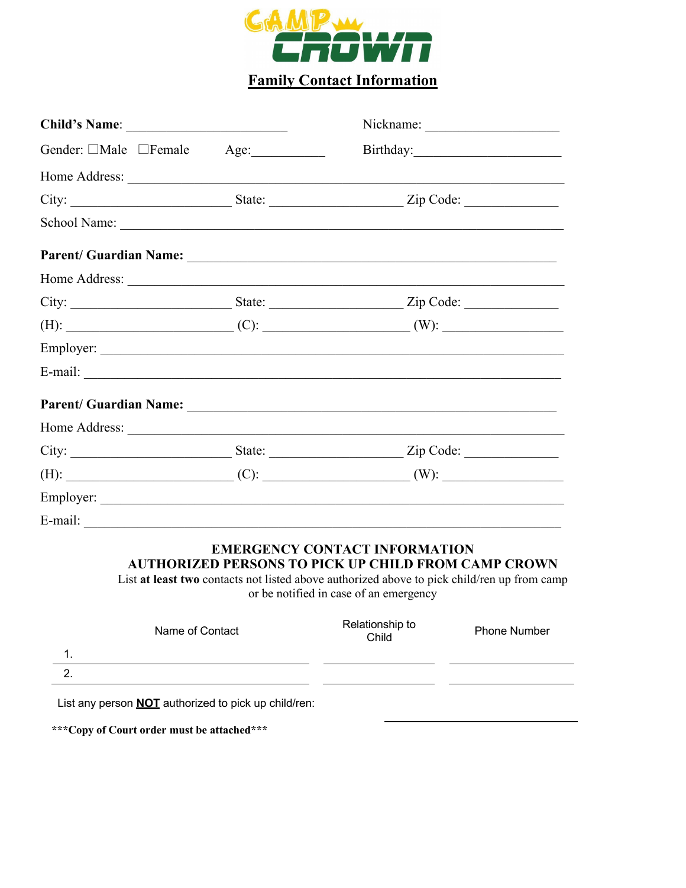

# **Family Contact Information**

| Child's Name:                                                                                                                   |      |  |
|---------------------------------------------------------------------------------------------------------------------------------|------|--|
| Gender: □Male □Female                                                                                                           | Age: |  |
|                                                                                                                                 |      |  |
|                                                                                                                                 |      |  |
|                                                                                                                                 |      |  |
|                                                                                                                                 |      |  |
|                                                                                                                                 |      |  |
|                                                                                                                                 |      |  |
|                                                                                                                                 |      |  |
|                                                                                                                                 |      |  |
|                                                                                                                                 |      |  |
|                                                                                                                                 |      |  |
|                                                                                                                                 |      |  |
|                                                                                                                                 |      |  |
|                                                                                                                                 |      |  |
|                                                                                                                                 |      |  |
| E-mail:<br><u> 1989 - Johann Johann Johann Johann Johann Johann Johann Johann Johann Johann Johann Johann Johann Johann Joh</u> |      |  |

#### **EMERGENCY CONTACT INFORMATION AUTHORIZED PERSONS TO PICK UP CHILD FROM CAMP CROWN**

List **at least two** contacts not listed above authorized above to pick child/ren up from camp or be notified in case of an emergency

|          | Name of Contact | Relationship to<br>Child | <b>Phone Number</b> |
|----------|-----------------|--------------------------|---------------------|
| . .      |                 |                          |                     |
| <u>.</u> |                 |                          |                     |
|          |                 |                          |                     |

List any person **NOT** authorized to pick up child/ren:

**\*\*\*Copy of Court order must be attached\*\*\***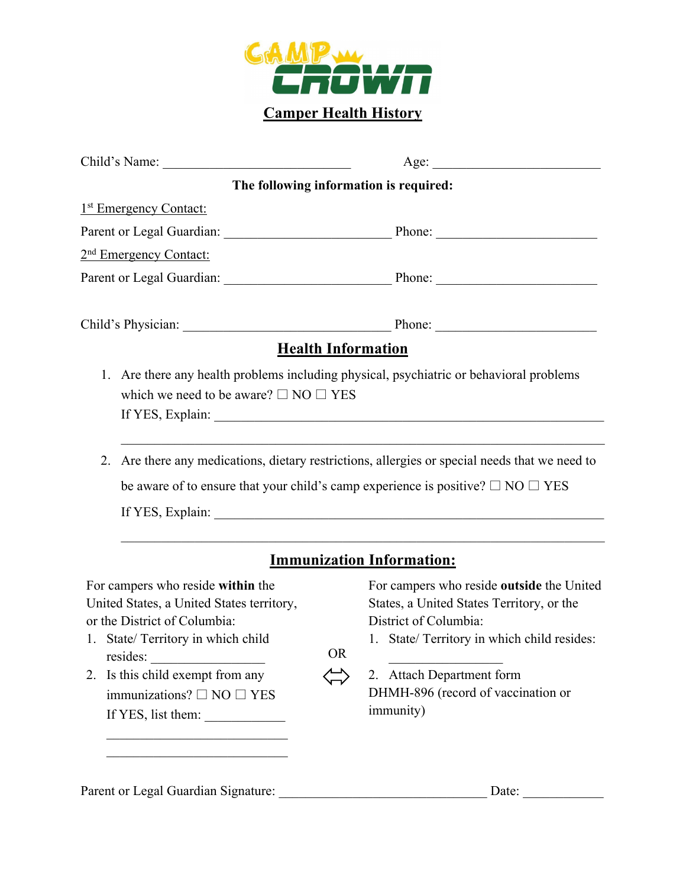

| Child's Name:                                                                                                                                                                                                                                                          | Age:                                                                                                                                                                                                                                                                |
|------------------------------------------------------------------------------------------------------------------------------------------------------------------------------------------------------------------------------------------------------------------------|---------------------------------------------------------------------------------------------------------------------------------------------------------------------------------------------------------------------------------------------------------------------|
|                                                                                                                                                                                                                                                                        | The following information is required:                                                                                                                                                                                                                              |
| 1 <sup>st</sup> Emergency Contact:                                                                                                                                                                                                                                     |                                                                                                                                                                                                                                                                     |
|                                                                                                                                                                                                                                                                        | Parent or Legal Guardian: Phone: Phone:                                                                                                                                                                                                                             |
| 2 <sup>nd</sup> Emergency Contact:                                                                                                                                                                                                                                     |                                                                                                                                                                                                                                                                     |
|                                                                                                                                                                                                                                                                        |                                                                                                                                                                                                                                                                     |
|                                                                                                                                                                                                                                                                        |                                                                                                                                                                                                                                                                     |
|                                                                                                                                                                                                                                                                        | <b>Health Information</b>                                                                                                                                                                                                                                           |
| which we need to be aware? $\square$ NO $\square$ YES                                                                                                                                                                                                                  | 2. Are there any medications, dietary restrictions, allergies or special needs that we need to<br>be aware of to ensure that your child's camp experience is positive? $\Box$ NO $\Box$ YES<br>If YES, Explain:                                                     |
|                                                                                                                                                                                                                                                                        | <b>Immunization Information:</b>                                                                                                                                                                                                                                    |
| For campers who reside within the<br>United States, a United States territory,<br>or the District of Columbia:<br>1. State/Territory in which child<br>resides:<br>2. Is this child exempt from any<br>immunizations? $\square$ NO $\square$ YES<br>If YES, list them: | For campers who reside outside the United<br>States, a United States Territory, or the<br>District of Columbia:<br>1. State/ Territory in which child resides:<br><b>OR</b><br>2. Attach Department form<br>DHMH-896 (record of vaccination or<br><i>immunity</i> ) |

Parent or Legal Guardian Signature: \_\_\_\_\_\_\_\_\_\_\_\_\_\_\_\_\_\_\_\_\_\_\_\_\_\_\_\_\_\_\_ Date: \_\_\_\_\_\_\_\_\_\_\_\_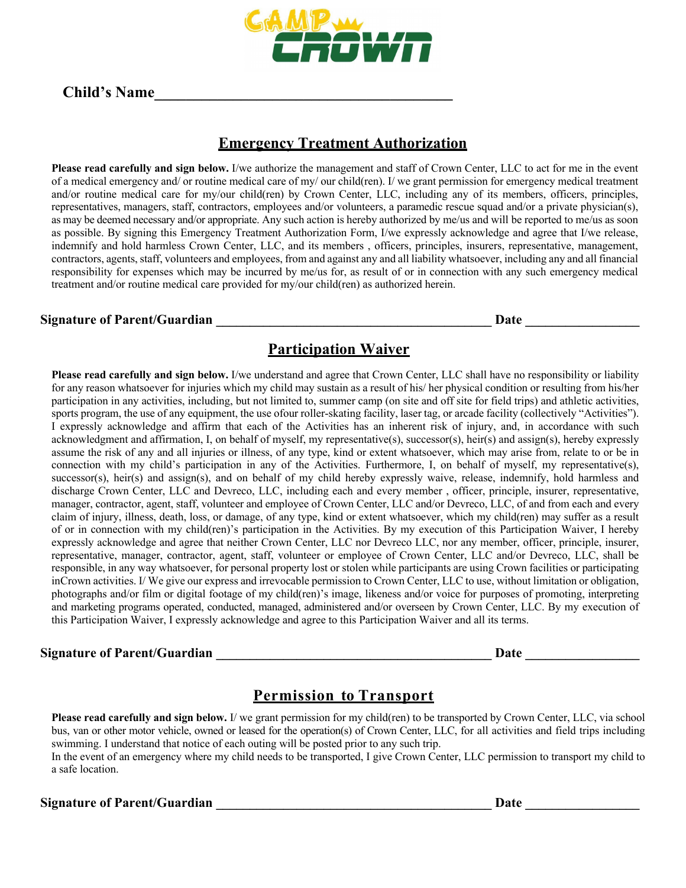

#### **Child's Name\_\_\_\_\_\_\_\_\_\_\_\_\_\_\_\_\_\_\_\_\_\_\_\_\_\_\_\_\_\_\_\_\_\_\_\_\_\_**

## **Emergency Treatment Authorization**

**Please read carefully and sign below.** I/we authorize the management and staff of Crown Center, LLC to act for me in the event of a medical emergency and/ or routine medical care of my/ our child(ren). I/ we grant permission for emergency medical treatment and/or routine medical care for my/our child(ren) by Crown Center, LLC, including any of its members, officers, principles, representatives, managers, staff, contractors, employees and/or volunteers, a paramedic rescue squad and/or a private physician(s), as may be deemed necessary and/or appropriate. Any such action is hereby authorized by me/us and will be reported to me/us as soon as possible. By signing this Emergency Treatment Authorization Form, I/we expressly acknowledge and agree that I/we release, indemnify and hold harmless Crown Center, LLC, and its members , officers, principles, insurers, representative, management, contractors, agents, staff, volunteers and employees, from and against any and all liability whatsoever, including any and all financial responsibility for expenses which may be incurred by me/us for, as result of or in connection with any such emergency medical treatment and/or routine medical care provided for my/our child(ren) as authorized herein.

#### **Signature of Parent/Guardian**   $\qquad \qquad$  **Date**  $\qquad \qquad$  **Date**

#### **Participation Waiver**

**Please read carefully and sign below.** I/we understand and agree that Crown Center, LLC shall have no responsibility or liability for any reason whatsoever for injuries which my child may sustain as a result of his/ her physical condition or resulting from his/her participation in any activities, including, but not limited to, summer camp (on site and off site for field trips) and athletic activities, sports program, the use of any equipment, the use ofour roller-skating facility, laser tag, or arcade facility (collectively "Activities"). I expressly acknowledge and affirm that each of the Activities has an inherent risk of injury, and, in accordance with such acknowledgment and affirmation, I, on behalf of myself, my representative(s), successor(s), heir(s) and assign(s), hereby expressly assume the risk of any and all injuries or illness, of any type, kind or extent whatsoever, which may arise from, relate to or be in connection with my child's participation in any of the Activities. Furthermore, I, on behalf of myself, my representative(s), successor(s), heir(s) and assign(s), and on behalf of my child hereby expressly waive, release, indemnify, hold harmless and discharge Crown Center, LLC and Devreco, LLC, including each and every member , officer, principle, insurer, representative, manager, contractor, agent, staff, volunteer and employee of Crown Center, LLC and/or Devreco, LLC, of and from each and every claim of injury, illness, death, loss, or damage, of any type, kind or extent whatsoever, which my child(ren) may suffer as a result of or in connection with my child(ren)'s participation in the Activities. By my execution of this Participation Waiver, I hereby expressly acknowledge and agree that neither Crown Center, LLC nor Devreco LLC, nor any member, officer, principle, insurer, representative, manager, contractor, agent, staff, volunteer or employee of Crown Center, LLC and/or Devreco, LLC, shall be responsible, in any way whatsoever, for personal property lost or stolen while participants are using Crown facilities or participating inCrown activities. I/ We give our express and irrevocable permission to Crown Center, LLC to use, without limitation or obligation, photographs and/or film or digital footage of my child(ren)'s image, likeness and/or voice for purposes of promoting, interpreting and marketing programs operated, conducted, managed, administered and/or overseen by Crown Center, LLC. By my execution of this Participation Waiver, I expressly acknowledge and agree to this Participation Waiver and all its terms.

#### **Signature of Parent/Guardian \_\_\_\_\_\_\_\_\_\_\_\_\_\_\_\_\_\_\_\_\_\_\_\_\_\_\_\_\_\_\_\_\_\_\_\_\_\_\_\_\_ Date \_\_\_\_\_\_\_\_\_\_\_\_\_\_\_\_\_**

## **Permission to Transport**

**Please read carefully and sign below.** I/ we grant permission for my child(ren) to be transported by Crown Center, LLC, via school bus, van or other motor vehicle, owned or leased for the operation(s) of Crown Center, LLC, for all activities and field trips including swimming. I understand that notice of each outing will be posted prior to any such trip.

In the event of an emergency where my child needs to be transported, I give Crown Center, LLC permission to transport my child to a safe location.

#### Signature of Parent/Guardian **and Container and Container and Container and Container and Container and Container**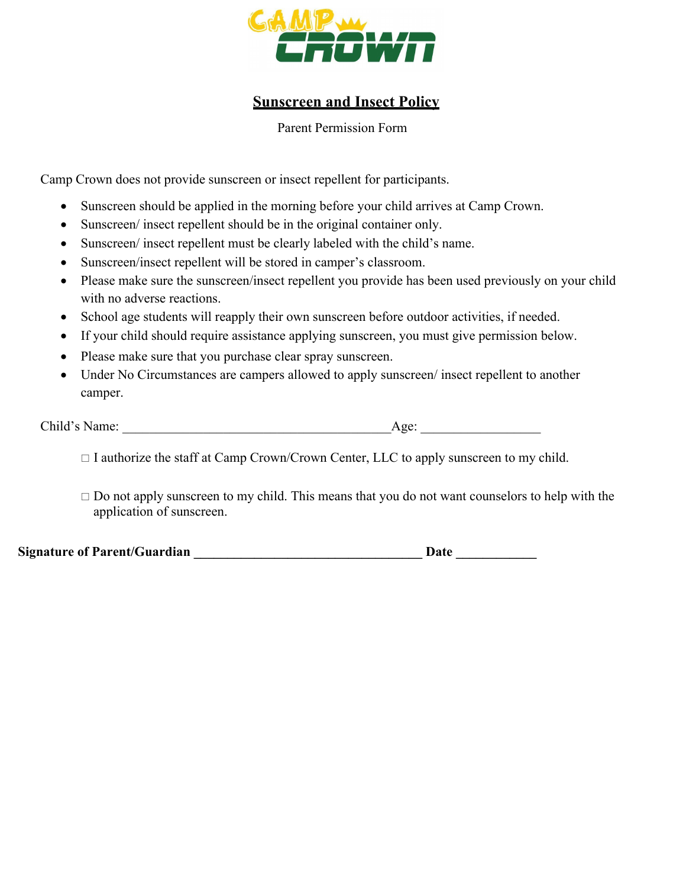

## **Sunscreen and Insect Policy**

Parent Permission Form

Camp Crown does not provide sunscreen or insect repellent for participants.

- Sunscreen should be applied in the morning before your child arrives at Camp Crown.
- Sunscreen/ insect repellent should be in the original container only.
- Sunscreen/ insect repellent must be clearly labeled with the child's name.
- Sunscreen/insect repellent will be stored in camper's classroom.
- Please make sure the sunscreen/insect repellent you provide has been used previously on your child with no adverse reactions.
- School age students will reapply their own sunscreen before outdoor activities, if needed.
- If your child should require assistance applying sunscreen, you must give permission below.
- Please make sure that you purchase clear spray sunscreen.
- Under No Circumstances are campers allowed to apply sunscreen/ insect repellent to another camper.

| Child's Name: | vee |
|---------------|-----|
|---------------|-----|

 $\Box$  I authorize the staff at Camp Crown/Crown Center, LLC to apply sunscreen to my child.

 $\Box$  Do not apply sunscreen to my child. This means that you do not want counselors to help with the application of sunscreen.

Signature of Parent/Guardian **Date 2018**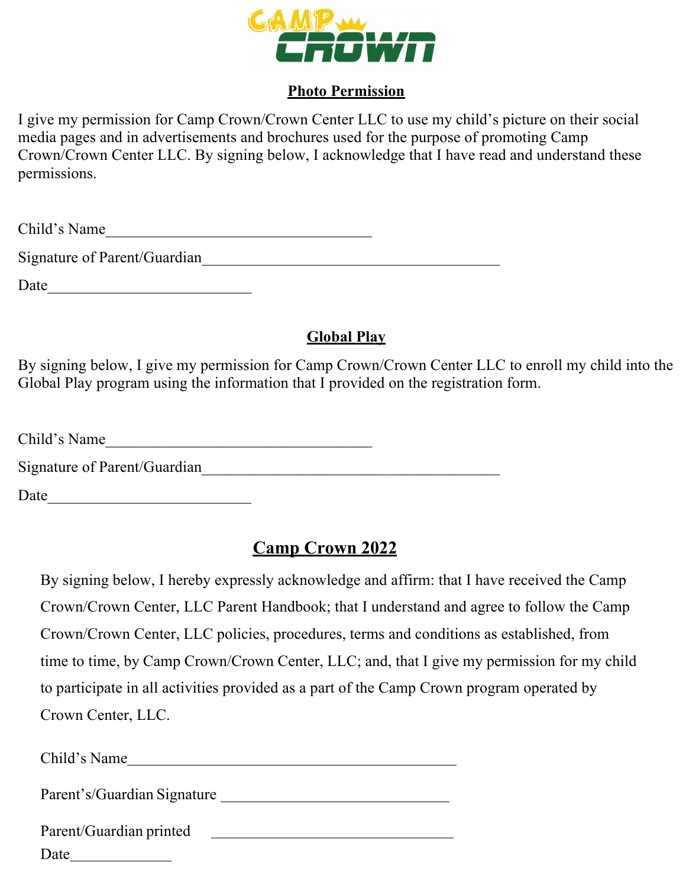

## **Photo Permission**

I give my permission for Camp Crown/Crown Center LLC to use my child's picture on their social media pages and in advertisements and brochures used for the purpose of promoting Camp Crown/Crown Center LLC. By signing below, I acknowledge that I have read and understand these permissions.

| Child<br>$\mathbf{N}$<br>me |  |
|-----------------------------|--|
|                             |  |

Signature of Parent/Guardian\_\_\_\_\_\_\_\_\_\_\_\_\_\_\_\_\_\_\_\_\_\_\_\_\_\_\_\_\_\_\_\_\_\_\_\_\_\_

Date

# **Global Play**

By signing below, I give my permission for Camp Crown/Crown Center LLC to enroll my child into the Global Play program using the information that I provided on the registration form.

Child's Name

Signature of Parent/Guardian\_\_\_\_\_\_\_\_\_\_\_\_\_\_\_\_\_\_\_\_\_\_\_\_\_\_\_\_\_\_\_\_\_\_\_\_\_\_

Date  $\Box$ 

# **Camp Crown 2022**

By signing below, I hereby expressly acknowledge and affirm: that I have received the Camp Crown/Crown Center, LLC Parent Handbook; that I understand and agree to follow the Camp Crown/Crown Center, LLC policies, procedures, terms and conditions as established, from time to time, by Camp Crown/Crown Center, LLC; and, that I give my permission for my child to participate in all activities provided as a part of the Camp Crown program operated by Crown Center, LLC.

Child's Name Parent's/Guardian Signature Parent/Guardian printed Date